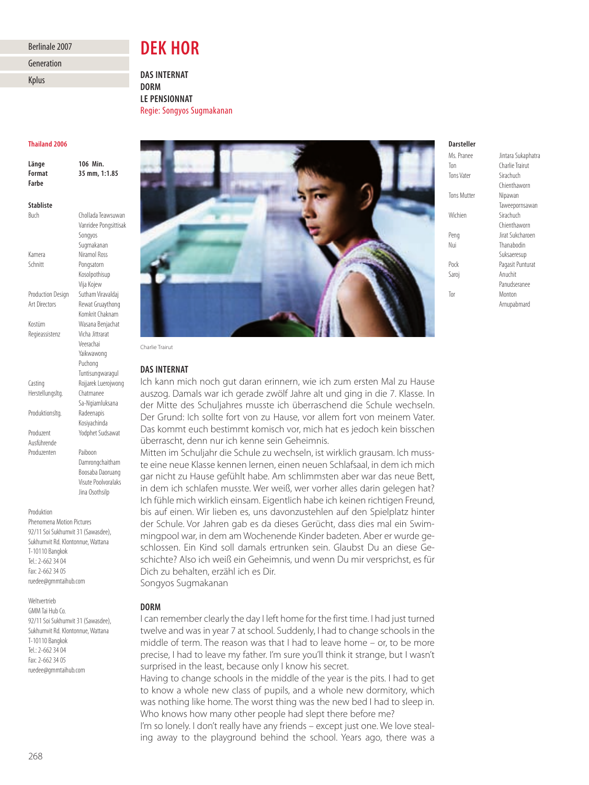### Berlinale 2007

Generation

Kplus

# **DEK HOR**

**DAS INTERNAT DORM LE PENSIONNAT** Regie: Songyos Sugmakanan

### **Thailand 2006**

| Länge            | 106 Min.              |
|------------------|-----------------------|
| Format           | 35 mm, 1:1.85         |
| Farbe            |                       |
|                  |                       |
| <b>Stabliste</b> |                       |
| Buch             | Chollada Teawsuwan    |
|                  | Vanridee Pongsittisak |

Songyos Sugmakanan Kamera Niramol Ross Schnitt Pongsatorn Kosolpothisup Vija Kojew Production Design Sutham Viravaldai Art Directors Rewat Gruaythong Komkrit Chaknam Kostüm Wasana Benjachat Regieassistenz Vicha Jittrarat Veerachai Yaikwawong Puchong Tuntisungwaragul Casting Rojjarek Luerojwong Herstellungsltg. Chatmanee Sa-Ngiamluksana Produktionsltg. Radeenapis

Produzent Yodphet Sudsawat Ausführende

Produzenten Paiboon Damrongchaitham Boosaba Daoruang Visute Poolvoralaks Jina Osothsilp

Kosiyachinda

### Produktion

Phenomena Motion Pictures 92/11 Soi Sukhumvit 31 (Sawasdee), Sukhumvit Rd. Klontonnue, Wattana T-10110 Bangkok Tel.: 2-662 34 04 Fax: 2-662 34 05 ruedee@gmmtaihub.com

Weltvertrieb GMM Tai Hub Co. 92/11 Soi Sukhumvit 31 (Sawasdee), Sukhumvit Rd. Klontonnue, Wattana T-10110 Bangkok  $Tel: 2-662 3404$ Fax: 2-662 34 05 ruedee@gmmtaihub.com



Charlie Trairut

### **DAS INTERNAT**

Ich kann mich noch gut daran erinnern, wie ich zum ersten Mal zu Hause auszog. Damals war ich gerade zwölf Jahre alt und ging in die 7. Klasse. In der Mitte des Schuljahres musste ich überraschend die Schule wechseln. Der Grund: Ich sollte fort von zu Hause, vor allem fort von meinem Vater. Das kommt euch bestimmt komisch vor, mich hat es jedoch kein bisschen überrascht, denn nur ich kenne sein Geheimnis.

Mitten im Schuljahr die Schule zu wechseln, ist wirklich grausam. Ich musste eine neue Klasse kennen lernen, einen neuen Schlafsaal, in dem ich mich gar nicht zu Hause gefühlt habe. Am schlimmsten aber war das neue Bett, in dem ich schlafen musste. Wer weiß, wer vorher alles darin gelegen hat? Ich fühle mich wirklich einsam. Eigentlich habe ich keinen richtigen Freund, bis auf einen. Wir lieben es, uns davonzustehlen auf den Spielplatz hinter der Schule. Vor Jahren gab es da dieses Gerücht, dass dies mal ein Swim ming pool war, in dem am Wochenende Kinder badeten. Aber er wurde geschlossen. Ein Kind soll damals ertrunken sein. Glaubst Du an diese Geschichte? Also ich weiß ein Geheimnis, und wenn Du mir versprichst, es für Dich zu behalten, erzähl ich es Dir. Songyos Sugmakanan

### **DORM**

I can remember clearly the day I left home for the first time. I had just turned twelve and was in year 7 at school. Suddenly, I had to change schools in the middle of term. The reason was that I had to leave home – or, to be more precise, I had to leave my father. I'm sure you'll think it strange, but I wasn't surprised in the least, because only I know his secret.

Having to change schools in the middle of the year is the pits. I had to get to know a whole new class of pupils, and a whole new dormitory, which was nothing like home. The worst thing was the new bed I had to sleep in. Who knows how many other people had slept there before me?

I'm so lonely. I don't really have any friends – except just one. We love stealing away to the playground behind the school. Years ago, there was a

## **Darsteller**

| 1913. I IUIILL     | unturu Junupnut  |
|--------------------|------------------|
| Ton                | Charlie Trairut  |
| <b>Tons Vater</b>  | Sirachuch        |
|                    | Chienthaworn     |
| <b>Tons Mutter</b> | Nipawan          |
|                    | Taweepornsawar   |
| Wichien            | Sirachuch        |
|                    | Chienthaworn     |
| Peng               | Jirat Sukcharoen |
| Nui                | Thanabodin       |
|                    | Suksaeresup      |
| Pock               | Pagasit Punturat |
| Saroi              | Anuchit          |
|                    | Panudseranee     |
| Tor                | Monton           |
|                    | Arnupabmard      |
|                    |                  |

Ms. Pranee Jintara Sukaphatra enthaworn reepornsawan enthaworn **saeresup** Panudseranee Arnupabmard